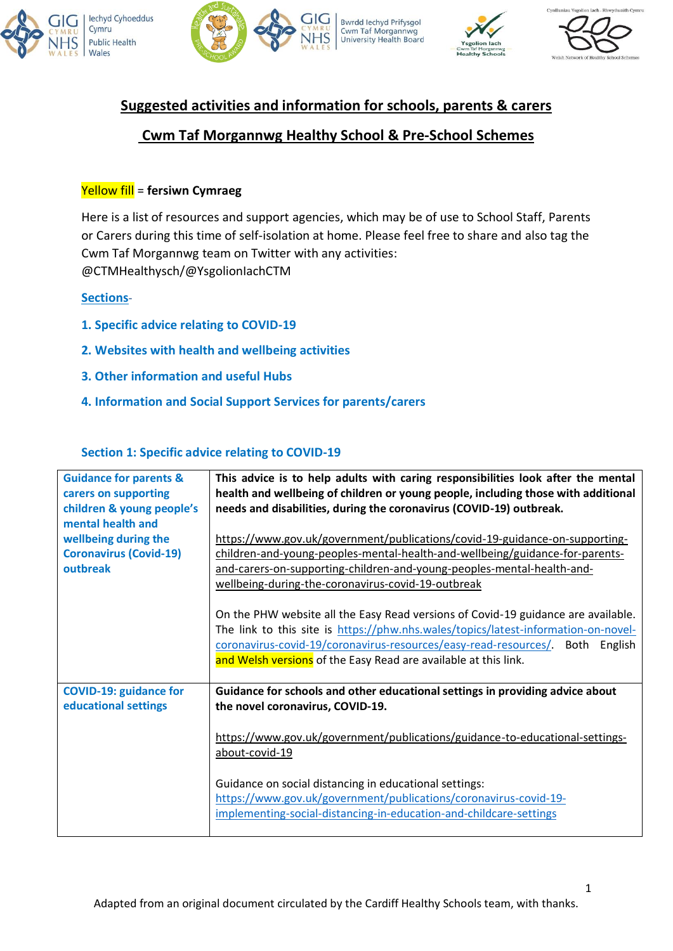



**Bwrdd lechyd Prifysgol Cwm Taf Morgannwg**<br>University Health Board





# **Suggested activities and information for schools, parents & carers**

### **Cwm Taf Morgannwg Healthy School & Pre-School Schemes**

#### Yellow fill = **fersiwn Cymraeg**

Here is a list of resources and support agencies, which may be of use to School Staff, Parents or Carers during this time of self-isolation at home. Please feel free to share and also tag the Cwm Taf Morgannwg team on Twitter with any activities: @CTMHealthysch/@YsgolionIachCTM

#### **Sections**-

- **1. Specific advice relating to COVID-19**
- **2. Websites with health and wellbeing activities**
- **3. Other information and useful Hubs**
- **4. Information and Social Support Services for parents/carers**

#### **Section 1: Specific advice relating to COVID-19**

| <b>Guidance for parents &amp;</b><br>carers on supporting<br>children & young people's<br>mental health and<br>wellbeing during the<br><b>Coronavirus (Covid-19)</b><br>outbreak | This advice is to help adults with caring responsibilities look after the mental<br>health and wellbeing of children or young people, including those with additional<br>needs and disabilities, during the coronavirus (COVID-19) outbreak.<br>https://www.gov.uk/government/publications/covid-19-guidance-on-supporting-<br>children-and-young-peoples-mental-health-and-wellbeing/guidance-for-parents-<br>and-carers-on-supporting-children-and-young-peoples-mental-health-and-<br>wellbeing-during-the-coronavirus-covid-19-outbreak<br>On the PHW website all the Easy Read versions of Covid-19 guidance are available.<br>The link to this site is https://phw.nhs.wales/topics/latest-information-on-novel-<br>coronavirus-covid-19/coronavirus-resources/easy-read-resources/.<br>English<br>Both<br>and Welsh versions of the Easy Read are available at this link. |
|----------------------------------------------------------------------------------------------------------------------------------------------------------------------------------|----------------------------------------------------------------------------------------------------------------------------------------------------------------------------------------------------------------------------------------------------------------------------------------------------------------------------------------------------------------------------------------------------------------------------------------------------------------------------------------------------------------------------------------------------------------------------------------------------------------------------------------------------------------------------------------------------------------------------------------------------------------------------------------------------------------------------------------------------------------------------------|
| <b>COVID-19: guidance for</b><br>educational settings                                                                                                                            | Guidance for schools and other educational settings in providing advice about<br>the novel coronavirus, COVID-19.<br>https://www.gov.uk/government/publications/guidance-to-educational-settings-<br>about-covid-19<br>Guidance on social distancing in educational settings:<br>https://www.gov.uk/government/publications/coronavirus-covid-19-<br>implementing-social-distancing-in-education-and-childcare-settings                                                                                                                                                                                                                                                                                                                                                                                                                                                          |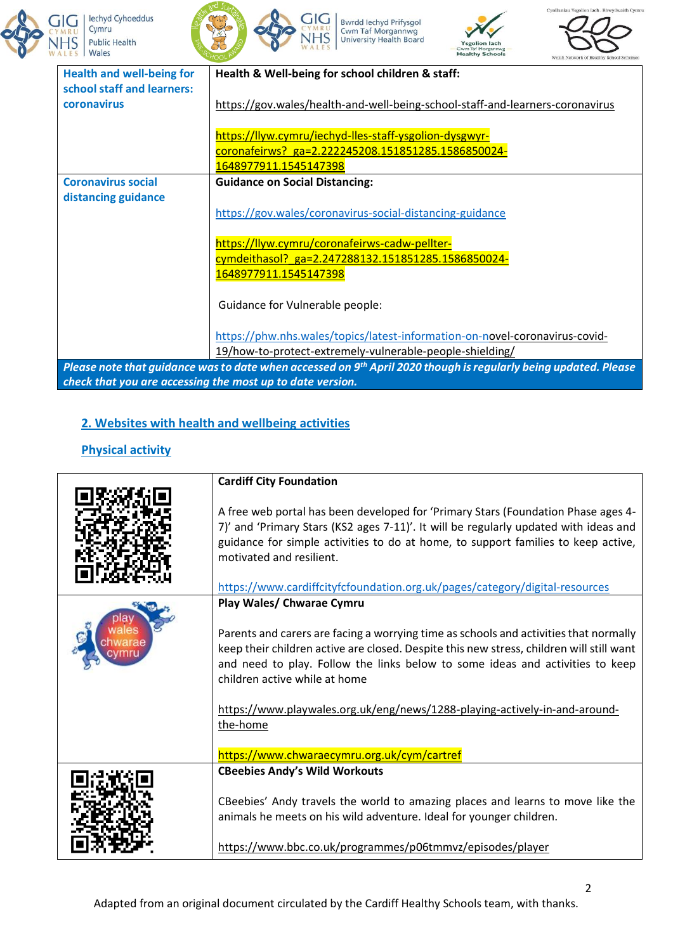









| <b>Health and well-being for</b><br>school staff and learners: | Health & Well-being for school children & staff:                                                                                                                                         |
|----------------------------------------------------------------|------------------------------------------------------------------------------------------------------------------------------------------------------------------------------------------|
| coronavirus                                                    | https://gov.wales/health-and-well-being-school-staff-and-learners-coronavirus                                                                                                            |
|                                                                | https://llyw.cymru/iechyd-lles-staff-ysgolion-dysgwyr-                                                                                                                                   |
|                                                                | coronafeirws? ga=2.222245208.151851285.1586850024-                                                                                                                                       |
|                                                                | 1648977911.1545147398                                                                                                                                                                    |
| <b>Coronavirus social</b><br>distancing guidance               | <b>Guidance on Social Distancing:</b>                                                                                                                                                    |
|                                                                | https://gov.wales/coronavirus-social-distancing-guidance                                                                                                                                 |
|                                                                | https://llyw.cymru/coronafeirws-cadw-pellter-                                                                                                                                            |
|                                                                | cymdeithasol? ga=2.247288132.151851285.1586850024-                                                                                                                                       |
|                                                                | 1648977911.1545147398                                                                                                                                                                    |
|                                                                | Guidance for Vulnerable people:                                                                                                                                                          |
|                                                                | https://phw.nhs.wales/topics/latest-information-on-novel-coronavirus-covid-                                                                                                              |
|                                                                | 19/how-to-protect-extremely-vulnerable-people-shielding/                                                                                                                                 |
|                                                                | Please note that guidance was to date when accessed on 9 <sup>th</sup> April 2020 though is regularly being updated. Please<br>check that you are accessing the most up to date version. |

 $HS$ 

### **2. Websites with health and wellbeing activities**

### **Physical activity**

| <b>Cardiff City Foundation</b>                                                                                                                                                                                                                                                                                                   |
|----------------------------------------------------------------------------------------------------------------------------------------------------------------------------------------------------------------------------------------------------------------------------------------------------------------------------------|
| A free web portal has been developed for 'Primary Stars (Foundation Phase ages 4-<br>7)' and 'Primary Stars (KS2 ages 7-11)'. It will be regularly updated with ideas and<br>guidance for simple activities to do at home, to support families to keep active,<br>motivated and resilient.                                       |
| https://www.cardiffcityfcfoundation.org.uk/pages/category/digital-resources                                                                                                                                                                                                                                                      |
| Play Wales/ Chwarae Cymru<br>Parents and carers are facing a worrying time as schools and activities that normally<br>keep their children active are closed. Despite this new stress, children will still want<br>and need to play. Follow the links below to some ideas and activities to keep<br>children active while at home |
| https://www.playwales.org.uk/eng/news/1288-playing-actively-in-and-around-<br>the-home<br>https://www.chwaraecymru.org.uk/cym/cartref                                                                                                                                                                                            |
| <b>CBeebies Andy's Wild Workouts</b>                                                                                                                                                                                                                                                                                             |
| CBeebies' Andy travels the world to amazing places and learns to move like the<br>animals he meets on his wild adventure. Ideal for younger children.<br>https://www.bbc.co.uk/programmes/p06tmmvz/episodes/player                                                                                                               |
|                                                                                                                                                                                                                                                                                                                                  |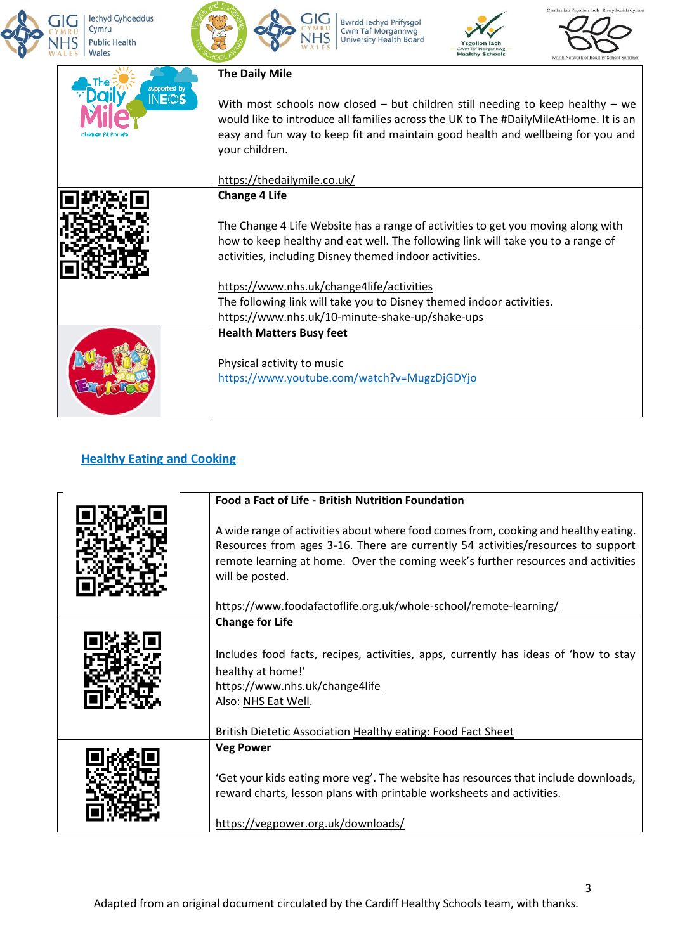



**HS** 

Bwrdd lechyd Prifysgol<br>Cwm Taf Morgannwg<br>University Health Board





| supported by | <b>The Daily Mile</b>                                                                                                                                                                                                                                                           |
|--------------|---------------------------------------------------------------------------------------------------------------------------------------------------------------------------------------------------------------------------------------------------------------------------------|
| INE©S        | With most schools now closed $-$ but children still needing to keep healthy $-$ we<br>would like to introduce all families across the UK to The #DailyMileAtHome. It is an<br>easy and fun way to keep fit and maintain good health and wellbeing for you and<br>your children. |
|              | https://thedailymile.co.uk/                                                                                                                                                                                                                                                     |
|              | <b>Change 4 Life</b>                                                                                                                                                                                                                                                            |
|              | The Change 4 Life Website has a range of activities to get you moving along with<br>how to keep healthy and eat well. The following link will take you to a range of<br>activities, including Disney themed indoor activities.                                                  |
|              | https://www.nhs.uk/change4life/activities                                                                                                                                                                                                                                       |
|              | The following link will take you to Disney themed indoor activities.                                                                                                                                                                                                            |
|              | https://www.nhs.uk/10-minute-shake-up/shake-ups                                                                                                                                                                                                                                 |
|              | <b>Health Matters Busy feet</b><br>Physical activity to music<br>https://www.youtube.com/watch?v=MugzDjGDYjo                                                                                                                                                                    |
|              |                                                                                                                                                                                                                                                                                 |

### **Healthy Eating and Cooking**

| <b>Food a Fact of Life - British Nutrition Foundation</b>                                                                                                                                                                                                                      |
|--------------------------------------------------------------------------------------------------------------------------------------------------------------------------------------------------------------------------------------------------------------------------------|
| A wide range of activities about where food comes from, cooking and healthy eating.<br>Resources from ages 3-16. There are currently 54 activities/resources to support<br>remote learning at home. Over the coming week's further resources and activities<br>will be posted. |
| https://www.foodafactoflife.org.uk/whole-school/remote-learning/                                                                                                                                                                                                               |
| <b>Change for Life</b><br>Includes food facts, recipes, activities, apps, currently has ideas of 'how to stay<br>healthy at home!'<br>https://www.nhs.uk/change4life<br>Also: NHS Eat Well.<br>British Dietetic Association Healthy eating: Food Fact Sheet                    |
| <b>Veg Power</b>                                                                                                                                                                                                                                                               |
| 'Get your kids eating more veg'. The website has resources that include downloads,<br>reward charts, lesson plans with printable worksheets and activities.<br>https://vegpower.org.uk/downloads/                                                                              |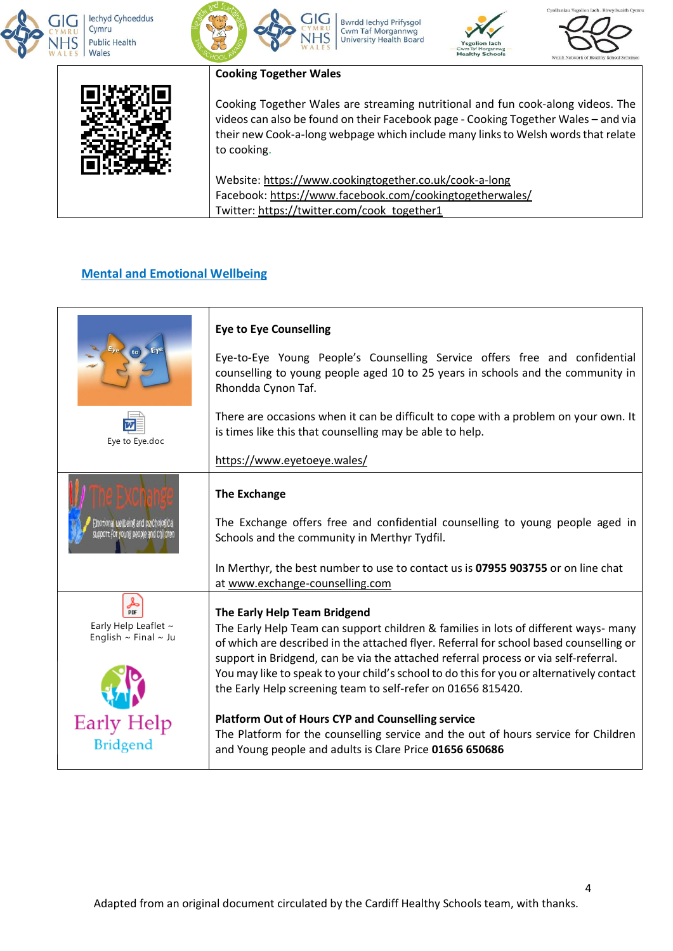



Bwrdd lechyd Prifysgol **Cwm Taf Morgannwg**<br>University Health Board





#### **Cooking Together Wales**

Cooking Together Wales are streaming nutritional and fun cook-along videos. The videos can also be found on their Facebook page - Cooking Together Wales – and via their new Cook-a-long webpage which include many links to Welsh words that relate to cooking.

Website: <https://www.cookingtogether.co.uk/cook-a-long> Facebook: <https://www.facebook.com/cookingtogetherwales/> Twitter: [https://twitter.com/cook\\_together1](https://twitter.com/cook_together1)

#### **Mental and Emotional Wellbeing**

|                                                                                              | <b>Eye to Eye Counselling</b><br>Eye-to-Eye Young People's Counselling Service offers free and confidential<br>counselling to young people aged 10 to 25 years in schools and the community in<br>Rhondda Cynon Taf.                                                                                                                                                                                                                                                                                                                                                                                                                                                          |
|----------------------------------------------------------------------------------------------|-------------------------------------------------------------------------------------------------------------------------------------------------------------------------------------------------------------------------------------------------------------------------------------------------------------------------------------------------------------------------------------------------------------------------------------------------------------------------------------------------------------------------------------------------------------------------------------------------------------------------------------------------------------------------------|
| Eye to Eye.doc                                                                               | There are occasions when it can be difficult to cope with a problem on your own. It<br>is times like this that counselling may be able to help.<br>https://www.eyetoeye.wales/                                                                                                                                                                                                                                                                                                                                                                                                                                                                                                |
| Emotional wellbeing and psyChological<br>support for young people and Childre                | <b>The Exchange</b><br>The Exchange offers free and confidential counselling to young people aged in<br>Schools and the community in Merthyr Tydfil.<br>In Merthyr, the best number to use to contact us is 07955 903755 or on line chat<br>at www.exchange-counselling.com                                                                                                                                                                                                                                                                                                                                                                                                   |
| ؞<br>Early Help Leaflet ~<br>English $\sim$ Final $\sim$ Ju<br>Early Help<br><b>Bridgend</b> | The Early Help Team Bridgend<br>The Early Help Team can support children & families in lots of different ways- many<br>of which are described in the attached flyer. Referral for school based counselling or<br>support in Bridgend, can be via the attached referral process or via self-referral.<br>You may like to speak to your child's school to do this for you or alternatively contact<br>the Early Help screening team to self-refer on 01656 815420.<br><b>Platform Out of Hours CYP and Counselling service</b><br>The Platform for the counselling service and the out of hours service for Children<br>and Young people and adults is Clare Price 01656 650686 |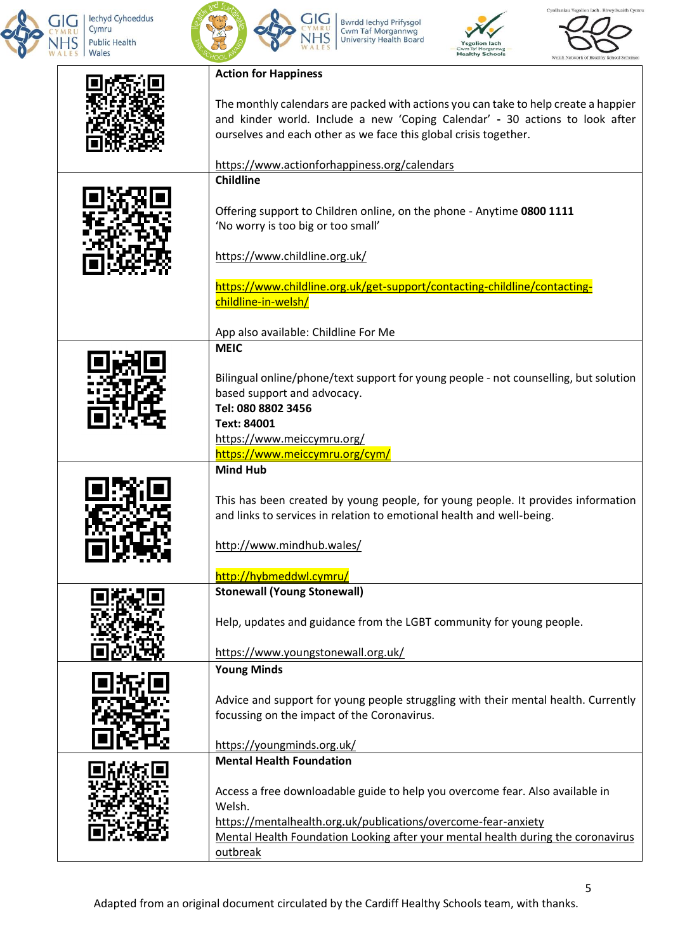



Bwrdd Iechyd Prifysgol<br>Cwm Taf Morgannwg<br>University Health Board





5

| <b>Action for Happiness</b>                                                                                                                      |
|--------------------------------------------------------------------------------------------------------------------------------------------------|
|                                                                                                                                                  |
| The monthly calendars are packed with actions you can take to help create a happier                                                              |
| and kinder world. Include a new 'Coping Calendar' - 30 actions to look after<br>ourselves and each other as we face this global crisis together. |
|                                                                                                                                                  |
| https://www.actionforhappiness.org/calendars                                                                                                     |
| <b>Childline</b>                                                                                                                                 |
|                                                                                                                                                  |
| Offering support to Children online, on the phone - Anytime 0800 1111                                                                            |
| 'No worry is too big or too small'                                                                                                               |
|                                                                                                                                                  |
| https://www.childline.org.uk/                                                                                                                    |
| https://www.childline.org.uk/get-support/contacting-childline/contacting-                                                                        |
| childline-in-welsh/                                                                                                                              |
|                                                                                                                                                  |
| App also available: Childline For Me                                                                                                             |
| <b>MEIC</b>                                                                                                                                      |
| Bilingual online/phone/text support for young people - not counselling, but solution                                                             |
| based support and advocacy.                                                                                                                      |
| Tel: 080 8802 3456                                                                                                                               |
| Text: 84001                                                                                                                                      |
| https://www.meiccymru.org/                                                                                                                       |
| https://www.meiccymru.org/cym/                                                                                                                   |
| <b>Mind Hub</b>                                                                                                                                  |
|                                                                                                                                                  |
| This has been created by young people, for young people. It provides information                                                                 |
| and links to services in relation to emotional health and well-being.                                                                            |
| http://www.mindhub.wales/                                                                                                                        |
|                                                                                                                                                  |
| http://hybmeddwl.cymru/                                                                                                                          |
| <b>Stonewall (Young Stonewall)</b>                                                                                                               |
|                                                                                                                                                  |
| Help, updates and guidance from the LGBT community for young people.                                                                             |
| https://www.youngstonewall.org.uk/                                                                                                               |
| <b>Young Minds</b>                                                                                                                               |
|                                                                                                                                                  |
| Advice and support for young people struggling with their mental health. Currently                                                               |
| focussing on the impact of the Coronavirus.                                                                                                      |
|                                                                                                                                                  |
| https://youngminds.org.uk/                                                                                                                       |
| <b>Mental Health Foundation</b>                                                                                                                  |
| Access a free downloadable guide to help you overcome fear. Also available in                                                                    |
| Welsh.                                                                                                                                           |
| https://mentalhealth.org.uk/publications/overcome-fear-anxiety                                                                                   |
| Mental Health Foundation Looking after your mental health during the coronavirus                                                                 |
| outbreak                                                                                                                                         |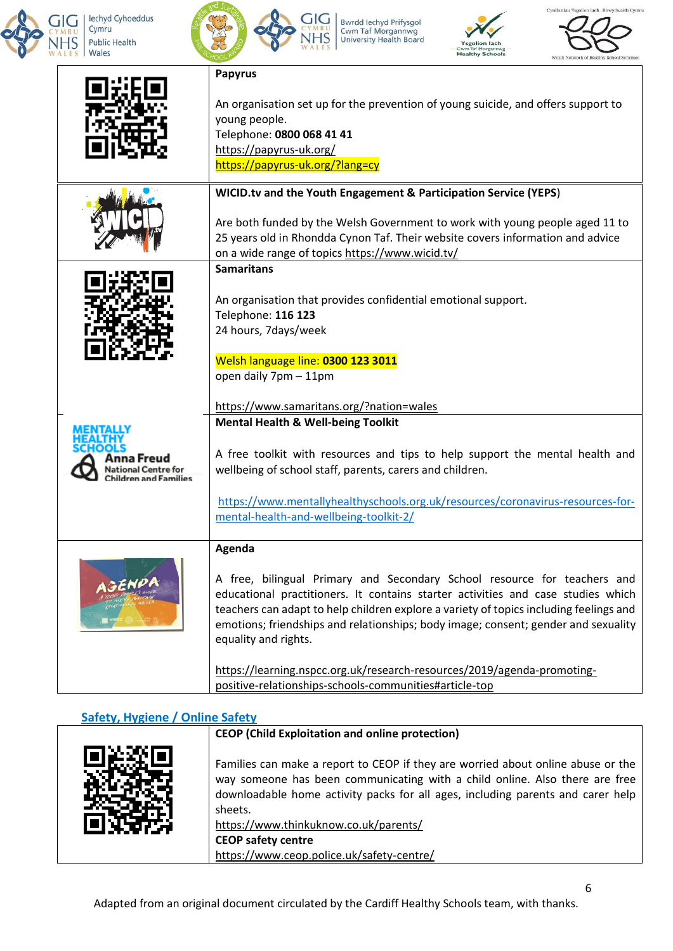



Bwrdd Iechyd Prifysgol<br>Cwm Taf Morgannwg<br>University Health Board

**GIG** 

**IHS** 





| <b>Papyrus</b>                           |                                                                                                                          |
|------------------------------------------|--------------------------------------------------------------------------------------------------------------------------|
|                                          |                                                                                                                          |
|                                          | An organisation set up for the prevention of young suicide, and offers support to<br>young people.                       |
|                                          | Telephone: 0800 068 41 41                                                                                                |
|                                          | https://papyrus-uk.org/                                                                                                  |
|                                          | https://papyrus-uk.org/?lang=cy                                                                                          |
|                                          | WICID.tv and the Youth Engagement & Participation Service (YEPS)                                                         |
|                                          | Are both funded by the Welsh Government to work with young people aged 11 to                                             |
|                                          | 25 years old in Rhondda Cynon Taf. Their website covers information and advice                                           |
|                                          | on a wide range of topics https://www.wicid.tv/                                                                          |
| <b>Samaritans</b>                        |                                                                                                                          |
|                                          |                                                                                                                          |
|                                          | An organisation that provides confidential emotional support.                                                            |
|                                          | Telephone: 116 123                                                                                                       |
|                                          | 24 hours, 7days/week                                                                                                     |
|                                          |                                                                                                                          |
|                                          | Welsh language line: 0300 123 3011<br>open daily 7pm - 11pm                                                              |
|                                          |                                                                                                                          |
|                                          | https://www.samaritans.org/?nation=wales                                                                                 |
|                                          | <b>Mental Health &amp; Well-being Toolkit</b>                                                                            |
|                                          |                                                                                                                          |
| ına Freuc                                | A free toolkit with resources and tips to help support the mental health and                                             |
| lational Centre<br>Children and Eamilies | wellbeing of school staff, parents, carers and children.                                                                 |
|                                          |                                                                                                                          |
|                                          | https://www.mentallyhealthyschools.org.uk/resources/coronavirus-resources-for-<br>mental-health-and-wellbeing-toolkit-2/ |
|                                          |                                                                                                                          |
| Agenda                                   |                                                                                                                          |
|                                          |                                                                                                                          |
|                                          | A free, bilingual Primary and Secondary School resource for teachers and                                                 |
|                                          | educational practitioners. It contains starter activities and case studies which                                         |
|                                          | teachers can adapt to help children explore a variety of topics including feelings and                                   |
|                                          |                                                                                                                          |
|                                          | emotions; friendships and relationships; body image; consent; gender and sexuality                                       |
|                                          | equality and rights.                                                                                                     |
|                                          | https://learning.nspcc.org.uk/research-resources/2019/agenda-promoting-                                                  |
|                                          |                                                                                                                          |

### **Safety, Hygiene / Online Safety**

| <b>CEOP</b> (Child Exploitation and online protection)                                                                                                                                                                                                                                                                                                                           |
|----------------------------------------------------------------------------------------------------------------------------------------------------------------------------------------------------------------------------------------------------------------------------------------------------------------------------------------------------------------------------------|
| Families can make a report to CEOP if they are worried about online abuse or the<br>way someone has been communicating with a child online. Also there are free<br>downloadable home activity packs for all ages, including parents and carer help<br>sheets.<br>https://www.thinkuknow.co.uk/parents/<br><b>CEOP safety centre</b><br>https://www.ceop.police.uk/safety-centre/ |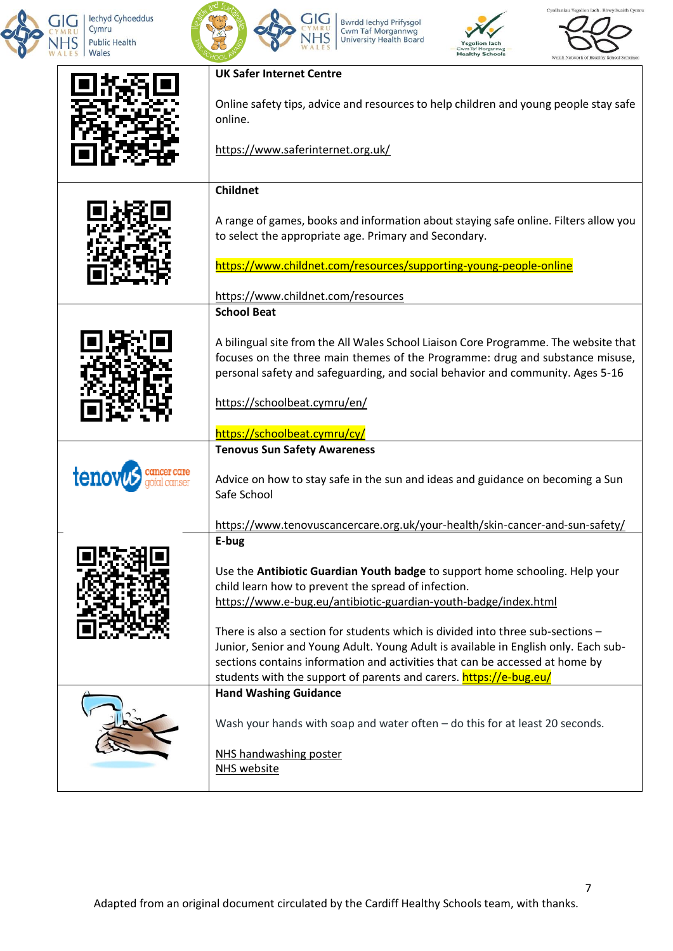

 $\mathsf{l}$ 



Bwrdd lechyd Prifysgol<br>Cwm Taf Morgannwg<br>University Health Board

**GIG** 

**IHS** 





7

| <b>UK Safer Internet Centre</b>                                                                                                                                                                                                                                                                                                |
|--------------------------------------------------------------------------------------------------------------------------------------------------------------------------------------------------------------------------------------------------------------------------------------------------------------------------------|
| Online safety tips, advice and resources to help children and young people stay safe<br>online.                                                                                                                                                                                                                                |
| https://www.saferinternet.org.uk/                                                                                                                                                                                                                                                                                              |
| <b>Childnet</b>                                                                                                                                                                                                                                                                                                                |
| A range of games, books and information about staying safe online. Filters allow you<br>to select the appropriate age. Primary and Secondary.                                                                                                                                                                                  |
| https://www.childnet.com/resources/supporting-young-people-online                                                                                                                                                                                                                                                              |
| https://www.childnet.com/resources                                                                                                                                                                                                                                                                                             |
| <b>School Beat</b>                                                                                                                                                                                                                                                                                                             |
| A bilingual site from the All Wales School Liaison Core Programme. The website that<br>focuses on the three main themes of the Programme: drug and substance misuse,<br>personal safety and safeguarding, and social behavior and community. Ages 5-16                                                                         |
| https://schoolbeat.cymru/en/                                                                                                                                                                                                                                                                                                   |
| https://schoolbeat.cymru/cy/                                                                                                                                                                                                                                                                                                   |
| <b>Tenovus Sun Safety Awareness</b><br>Advice on how to stay safe in the sun and ideas and guidance on becoming a Sun<br>Safe School                                                                                                                                                                                           |
| https://www.tenovuscancercare.org.uk/your-health/skin-cancer-and-sun-safety/                                                                                                                                                                                                                                                   |
| E-bug                                                                                                                                                                                                                                                                                                                          |
| Use the Antibiotic Guardian Youth badge to support home schooling. Help your<br>child learn how to prevent the spread of infection.<br>https://www.e-bug.eu/antibiotic-guardian-youth-badge/index.html                                                                                                                         |
| There is also a section for students which is divided into three sub-sections $-$<br>Junior, Senior and Young Adult. Young Adult is available in English only. Each sub-<br>sections contains information and activities that can be accessed at home by<br>students with the support of parents and carers. https://e-bug.eu/ |
| <b>Hand Washing Guidance</b><br>Wash your hands with soap and water often - do this for at least 20 seconds.<br>NHS handwashing poster<br>NHS website                                                                                                                                                                          |
|                                                                                                                                                                                                                                                                                                                                |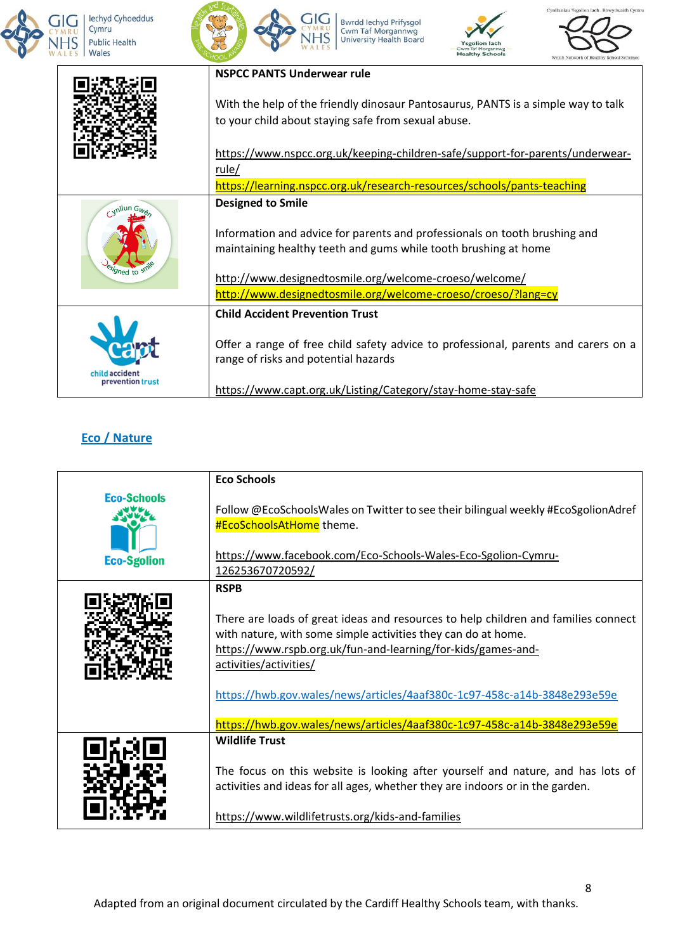



Bwrdd lechyd Prifysgol<br>Cwm Taf Morgannwg<br>University Health Board





|        | <b>NSPCC PANTS Underwear rule</b>                                                                                                                                                                                                                                                                    |
|--------|------------------------------------------------------------------------------------------------------------------------------------------------------------------------------------------------------------------------------------------------------------------------------------------------------|
|        | With the help of the friendly dinosaur Pantosaurus, PANTS is a simple way to talk<br>to your child about staying safe from sexual abuse.                                                                                                                                                             |
|        | https://www.nspcc.org.uk/keeping-children-safe/support-for-parents/underwear-<br>rule/                                                                                                                                                                                                               |
|        | https://learning.nspcc.org.uk/research-resources/schools/pants-teaching                                                                                                                                                                                                                              |
| Med ta | <b>Designed to Smile</b><br>Information and advice for parents and professionals on tooth brushing and<br>maintaining healthy teeth and gums while tooth brushing at home<br>http://www.designedtosmile.org/welcome-croeso/welcome/<br>http://www.designedtosmile.org/welcome-croeso/croeso/?lang=cy |
|        | <b>Child Accident Prevention Trust</b>                                                                                                                                                                                                                                                               |
|        | Offer a range of free child safety advice to professional, parents and carers on a<br>range of risks and potential hazards                                                                                                                                                                           |
|        | https://www.capt.org.uk/Listing/Category/stay-home-stay-safe                                                                                                                                                                                                                                         |

# **Eco / Nature**

|                                          | <b>Eco Schools</b>                                                                                                                                                                                                                                                                                                        |
|------------------------------------------|---------------------------------------------------------------------------------------------------------------------------------------------------------------------------------------------------------------------------------------------------------------------------------------------------------------------------|
| <b>Eco-Schools</b><br><b>Eco-Sgolion</b> | Follow @EcoSchoolsWales on Twitter to see their bilingual weekly #EcoSgolionAdref<br><b>#EcoSchoolsAtHome</b> theme.<br>https://www.facebook.com/Eco-Schools-Wales-Eco-Sgolion-Cymru-<br><u>126253670720592/</u>                                                                                                          |
|                                          | <b>RSPB</b>                                                                                                                                                                                                                                                                                                               |
|                                          | There are loads of great ideas and resources to help children and families connect<br>with nature, with some simple activities they can do at home.<br>https://www.rspb.org.uk/fun-and-learning/for-kids/games-and-<br>activities/activities/<br>https://hwb.gov.wales/news/articles/4aaf380c-1c97-458c-a14b-3848e293e59e |
|                                          | https://hwb.gov.wales/news/articles/4aaf380c-1c97-458c-a14b-3848e293e59e                                                                                                                                                                                                                                                  |
|                                          | <b>Wildlife Trust</b><br>The focus on this website is looking after yourself and nature, and has lots of                                                                                                                                                                                                                  |
|                                          | activities and ideas for all ages, whether they are indoors or in the garden.<br>https://www.wildlifetrusts.org/kids-and-families                                                                                                                                                                                         |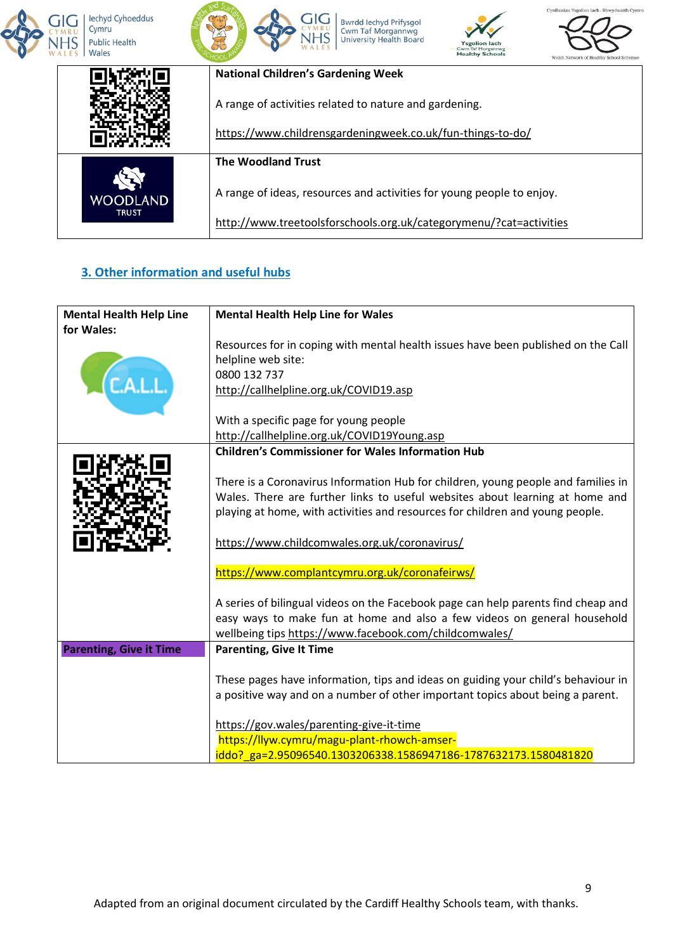









|                          | <b>National Children's Gardening Week</b>                             |  |
|--------------------------|-----------------------------------------------------------------------|--|
|                          | A range of activities related to nature and gardening.                |  |
|                          | https://www.childrensgardeningweek.co.uk/fun-things-to-do/            |  |
|                          | <b>The Woodland Trust</b>                                             |  |
| WOODLAND<br><b>TRUST</b> | A range of ideas, resources and activities for young people to enjoy. |  |
|                          | http://www.treetoolsforschools.org.uk/categorymenu/?cat=activities    |  |

# **3. Other information and useful hubs**

| <b>Mental Health Help Line</b> | <b>Mental Health Help Line for Wales</b>                                          |
|--------------------------------|-----------------------------------------------------------------------------------|
| for Wales:                     |                                                                                   |
|                                | Resources for in coping with mental health issues have been published on the Call |
|                                | helpline web site:                                                                |
|                                | 0800 132 737                                                                      |
|                                | http://callhelpline.org.uk/COVID19.asp                                            |
|                                |                                                                                   |
|                                | With a specific page for young people                                             |
|                                | http://callhelpline.org.uk/COVID19Young.asp                                       |
|                                | <b>Children's Commissioner for Wales Information Hub</b>                          |
|                                |                                                                                   |
|                                | There is a Coronavirus Information Hub for children, young people and families in |
|                                | Wales. There are further links to useful websites about learning at home and      |
|                                | playing at home, with activities and resources for children and young people.     |
|                                |                                                                                   |
|                                | https://www.childcomwales.org.uk/coronavirus/                                     |
|                                |                                                                                   |
|                                | https://www.complantcymru.org.uk/coronafeirws/                                    |
|                                | A series of bilingual videos on the Facebook page can help parents find cheap and |
|                                | easy ways to make fun at home and also a few videos on general household          |
|                                | wellbeing tips https://www.facebook.com/childcomwales/                            |
| <b>Parenting, Give it Time</b> | <b>Parenting, Give It Time</b>                                                    |
|                                |                                                                                   |
|                                | These pages have information, tips and ideas on guiding your child's behaviour in |
|                                | a positive way and on a number of other important topics about being a parent.    |
|                                |                                                                                   |
|                                | https://gov.wales/parenting-give-it-time                                          |
|                                | https://llyw.cymru/magu-plant-rhowch-amser-                                       |
|                                | iddo?_ga=2.95096540.1303206338.1586947186-1787632173.1580481820                   |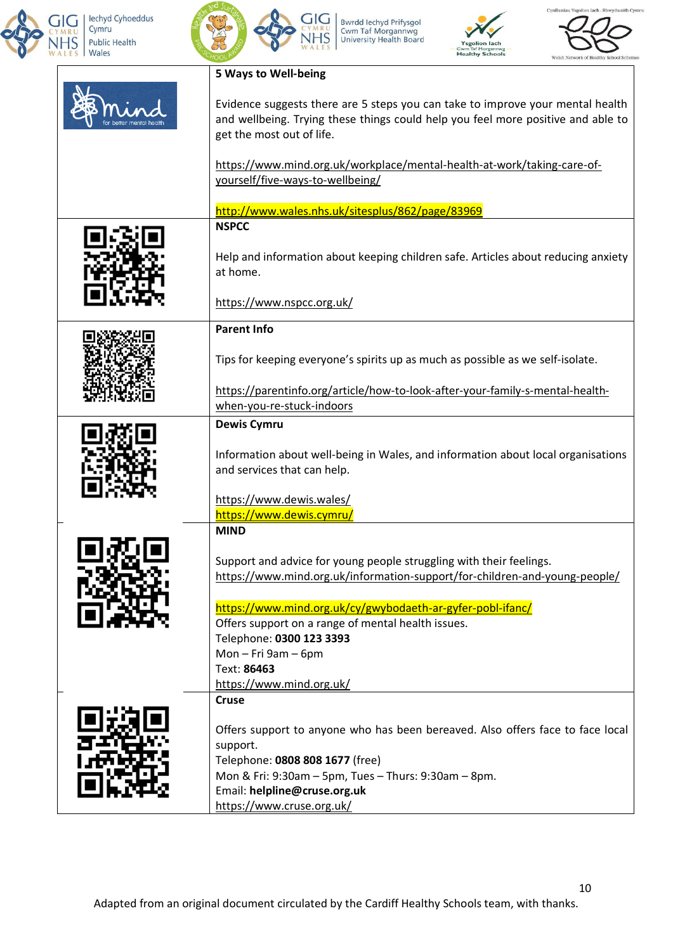



Bwrdd Iechyd Prifysgol<br>Cwm Taf Morgannwg<br>University Health Board





| 5 Ways to Well-being                                                                                                                                                                                                                  |
|---------------------------------------------------------------------------------------------------------------------------------------------------------------------------------------------------------------------------------------|
| Evidence suggests there are 5 steps you can take to improve your mental health<br>and wellbeing. Trying these things could help you feel more positive and able to<br>get the most out of life.                                       |
| https://www.mind.org.uk/workplace/mental-health-at-work/taking-care-of-<br>yourself/five-ways-to-wellbeing/                                                                                                                           |
| http://www.wales.nhs.uk/sitesplus/862/page/83969                                                                                                                                                                                      |
| <b>NSPCC</b>                                                                                                                                                                                                                          |
| Help and information about keeping children safe. Articles about reducing anxiety<br>at home.                                                                                                                                         |
| https://www.nspcc.org.uk/                                                                                                                                                                                                             |
| <b>Parent Info</b>                                                                                                                                                                                                                    |
| Tips for keeping everyone's spirits up as much as possible as we self-isolate.                                                                                                                                                        |
| https://parentinfo.org/article/how-to-look-after-your-family-s-mental-health-                                                                                                                                                         |
| when-you-re-stuck-indoors                                                                                                                                                                                                             |
| <b>Dewis Cymru</b><br>Information about well-being in Wales, and information about local organisations<br>and services that can help.                                                                                                 |
| https://www.dewis.wales/<br>https://www.dewis.cymru/                                                                                                                                                                                  |
| <b>MIND</b>                                                                                                                                                                                                                           |
| Support and advice for young people struggling with their feelings.<br>https://www.mind.org.uk/information-support/for-children-and-young-people/                                                                                     |
| https://www.mind.org.uk/cy/gwybodaeth-ar-gyfer-pobl-ifanc/<br>Offers support on a range of mental health issues.<br>Telephone: 0300 123 3393<br>Mon $-$ Fri 9am $-$ 6pm<br>Text: 86463                                                |
| https://www.mind.org.uk/                                                                                                                                                                                                              |
| <b>Cruse</b><br>Offers support to anyone who has been bereaved. Also offers face to face local<br>support.<br>Telephone: 0808 808 1677 (free)<br>Mon & Fri: 9:30am - 5pm, Tues - Thurs: 9:30am - 8pm.<br>Email: helpline@cruse.org.uk |
| https://www.cruse.org.uk/                                                                                                                                                                                                             |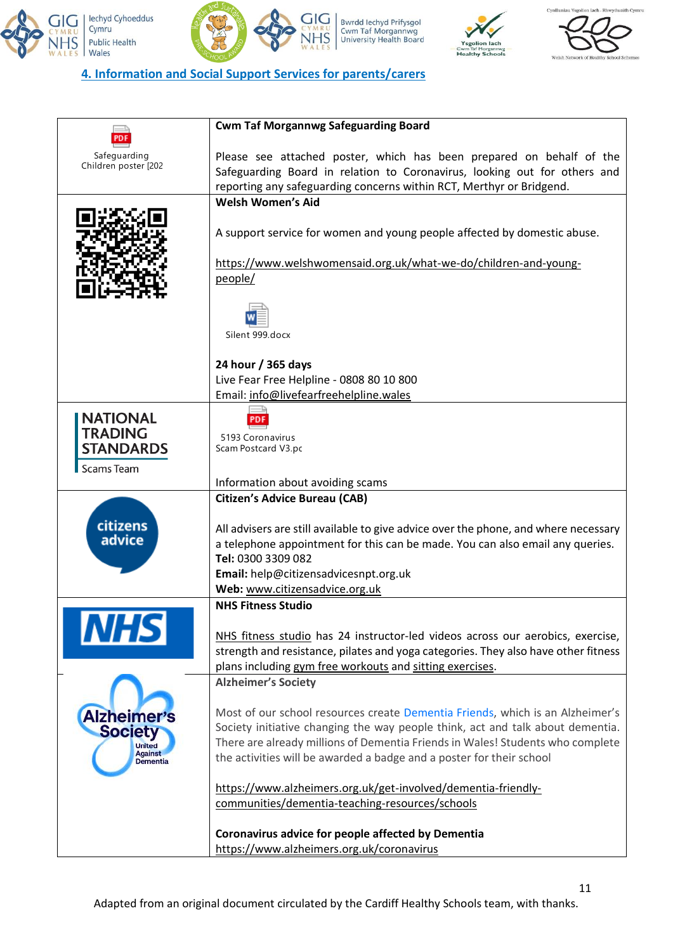



Bwrdd lechyd Prifysgol<br>Cwm Taf Morgannwg<br>University Health Board

GIG

**IHS** 





11

### **4. Information and Social Support Services for parents/carers**

|                                   | <b>Cwm Taf Morgannwg Safeguarding Board</b>                                         |
|-----------------------------------|-------------------------------------------------------------------------------------|
| Safeguarding                      | Please see attached poster, which has been prepared on behalf of the                |
| Children poster [202              | Safeguarding Board in relation to Coronavirus, looking out for others and           |
|                                   | reporting any safeguarding concerns within RCT, Merthyr or Bridgend.                |
|                                   | <b>Welsh Women's Aid</b>                                                            |
|                                   |                                                                                     |
|                                   | A support service for women and young people affected by domestic abuse.            |
|                                   | https://www.welshwomensaid.org.uk/what-we-do/children-and-young-                    |
|                                   | people/                                                                             |
|                                   |                                                                                     |
|                                   |                                                                                     |
|                                   |                                                                                     |
|                                   | Silent 999.docx                                                                     |
|                                   |                                                                                     |
|                                   | 24 hour / 365 days<br>Live Fear Free Helpline - 0808 80 10 800                      |
|                                   | Email: info@livefearfreehelpline.wales                                              |
|                                   |                                                                                     |
| <b>NATIONAL</b><br><b>TRADING</b> |                                                                                     |
| <b>STANDARDS</b>                  | 5193 Coronavirus<br>Scam Postcard V3.pc                                             |
|                                   |                                                                                     |
| <b>Scams Team</b>                 | Information about avoiding scams                                                    |
|                                   | <b>Citizen's Advice Bureau (CAB)</b>                                                |
|                                   |                                                                                     |
| citizens                          | All advisers are still available to give advice over the phone, and where necessary |
| advice                            | a telephone appointment for this can be made. You can also email any queries.       |
|                                   | Tel: 0300 3309 082                                                                  |
|                                   | Email: help@citizensadvicesnpt.org.uk                                               |
|                                   | Web: www.citizensadvice.org.uk                                                      |
|                                   | <b>NHS Fitness Studio</b>                                                           |
|                                   | NHS fitness studio has 24 instructor-led videos across our aerobics, exercise,      |
|                                   | strength and resistance, pilates and yoga categories. They also have other fitness  |
|                                   | plans including gym free workouts and sitting exercises.                            |
|                                   | <b>Alzheimer's Society</b>                                                          |
|                                   |                                                                                     |
| <b>Alzheimer's</b>                | Most of our school resources create Dementia Friends, which is an Alzheimer's       |
| <b>Society</b>                    | Society initiative changing the way people think, act and talk about dementia.      |
| <b>United</b><br><b>Against</b>   | There are already millions of Dementia Friends in Wales! Students who complete      |
| <b>Dementia</b>                   | the activities will be awarded a badge and a poster for their school                |
|                                   | https://www.alzheimers.org.uk/get-involved/dementia-friendly-                       |
|                                   | communities/dementia-teaching-resources/schools                                     |
|                                   |                                                                                     |
|                                   | Coronavirus advice for people affected by Dementia                                  |
|                                   | https://www.alzheimers.org.uk/coronavirus                                           |